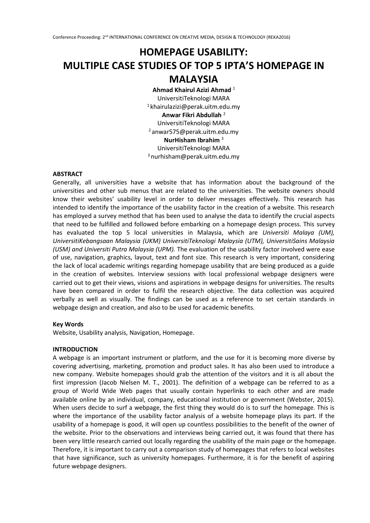# **HOMEPAGE USABILITY: MULTIPLE CASE STUDIES OF TOP 5 IPTA'S HOMEPAGE IN MALAYSIA**

**Ahmad Khairul Azizi Ahmad** <sup>1</sup> UniversitiTeknologi MARA  $1$ khairulazizi@perak.uitm.edu.my **Anwar Fikri Abdullah** <sup>2</sup> UniversitiTeknologi MARA <sup>2</sup> anwar575@perak.uitm.edu.my **NurHisham Ibrahim** <sup>3</sup> UniversitiTeknologi MARA <sup>3</sup> nurhisham@perak.uitm.edu.my

# **ABSTRACT**

Generally, all universities have a website that has information about the background of the universities and other sub menus that are related to the universities. The website owners should know their websites' usability level in order to deliver messages effectively. This research has intended to identify the importance of the usability factor in the creation of a website. This research has employed a survey method that has been used to analyse the data to identify the crucial aspects that need to be fulfilled and followed before embarking on a homepage design process. This survey has evaluated the top 5 local universities in Malaysia, which are *Universiti Malaya (UM), UniversitiKebangsaan Malaysia (UKM) UniversitiTeknologi Malaysia (UTM), UniversitiSains Malaysia (USM) and Universiti Putra Malaysia (UPM).* The evaluation of the usability factor involved were ease of use, navigation, graphics, layout, text and font size. This research is very important, considering the lack of local academic writings regarding homepage usability that are being produced as a guide in the creation of websites. Interview sessions with local professional webpage designers were carried out to get their views, visions and aspirations in webpage designs for universities. The results have been compared in order to fulfil the research objective. The data collection was acquired verbally as well as visually. The findings can be used as a reference to set certain standards in webpage design and creation, and also to be used for academic benefits.

#### **Key Words**

Website, Usability analysis, Navigation, Homepage.

# **INTRODUCTION**

A webpage is an important instrument or platform, and the use for it is becoming more diverse by covering advertising, marketing, promotion and product sales. It has also been used to introduce a new company. Website homepages should grab the attention of the visitors and it is all about the first impression (Jacob Nielsen M. T., 2001). The definition of a webpage can be referred to as a group of World Wide Web pages that usually contain hyperlinks to each other and are made available online by an individual, company, educational institution or government (Webster, 2015). When users decide to surf a webpage, the first thing they would do is to surf the homepage. This is where the importance of the usability factor analysis of a website homepage plays its part. If the usability of a homepage is good, it will open up countless possibilities to the benefit of the owner of the website. Prior to the observations and interviews being carried out, it was found that there has been very little research carried out locally regarding the usability of the main page or the homepage. Therefore, it is important to carry out a comparison study of homepages that refers to local websites that have significance, such as university homepages. Furthermore, it is for the benefit of aspiring future webpage designers.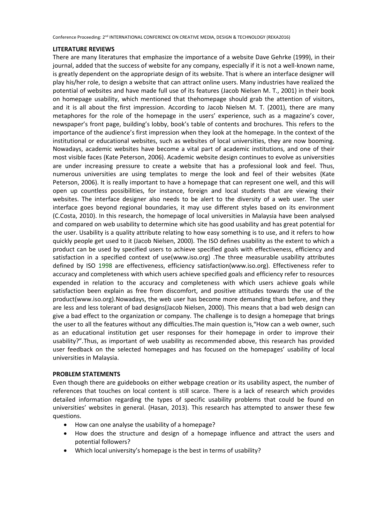#### **LITERATURE REVIEWS**

There are many literatures that emphasize the importance of a website Dave Gehrke (1999), in their journal, added that the success of website for any company, especially if it is not a well-known name, is greatly dependent on the appropriate design of its website. That is where an interface designer will play his/her role, to design a website that can attract online users. Many industries have realized the potential of websites and have made full use of its features (Jacob Nielsen M. T., 2001) in their book on homepage usability, which mentioned that thehomepage should grab the attention of visitors, and it is all about the first impression. According to Jacob Nielsen M. T. (2001), there are many metaphores for the role of the homepage in the users' experience, such as a magazine's cover, newspaper's front page, building's lobby, book's table of contents and brochures. This refers to the importance of the audience's first impression when they look at the homepage. In the context of the institutional or educational websites, such as websites of local universities, they are now booming. Nowadays, academic websites have become a vital part of academic institutions, and one of their most visible faces (Kate Peterson, 2006). Academic website design continues to evolve as universities are under increasing pressure to create a website that has a professional look and feel. Thus, numerous universities are using templates to merge the look and feel of their websites (Kate Peterson, 2006). It is really important to have a homepage that can represent one well, and this will open up countless possibilities, for instance, foreign and local students that are viewing their websites. The interface designer also needs to be alert to the diversity of a web user. The user interface goes beyond regional boundaries, it may use different styles based on its environment (C.Costa, 2010). In this research, the homepage of local universities in Malaysia have been analysed and compared on web usability to determine which site has good usability and has great potential for the user. Usability is a quality attribute relating to how easy something is to use, and it refers to how quickly people get used to it (Jacob Nielsen, 2000). The ISO defines usability as the extent to which a product can be used by specified users to achieve specified goals with effectiveness, efficiency and satisfaction in a specified context of use(www.iso.org) .The three measurable usability attributes defined by ISO 1998 are effectiveness, efficiency satisfaction(www.iso.org). Effectiveness refer to accuracy and completeness with which users achieve specified goals and efficiency refer to resources expended in relation to the accuracy and completeness with which users achieve goals while satisfaction been explain as free from discomfort, and positive attitudes towards the use of the product(www.iso.org).Nowadays, the web user has become more demanding than before, and they are less and less tolerant of bad designs(Jacob Nielsen, 2000). This means that a bad web design can give a bad effect to the organization or company. The challenge is to design a homepage that brings the user to all the features without any difficulties. The main question is, "How can a web owner, such as an educational institution get user responses for their homepage in order to improve their usability?".Thus, as important of web usability as recommended above, this research has provided user feedback on the selected homepages and has focused on the homepages' usability of local universities in Malaysia.

#### **PROBLEM STATEMENTS**

Even though there are guidebooks on either webpage creation or its usability aspect, the number of references that touches on local content is still scarce. There is a lack of research which provides detailed information regarding the types of specific usability problems that could be found on universities' websites in general. (Hasan, 2013). This research has attempted to answer these few questions.

- How can one analyse the usability of a homepage?
- How does the structure and design of a homepage influence and attract the users and potential followers?
- Which local university's homepage is the best in terms of usability?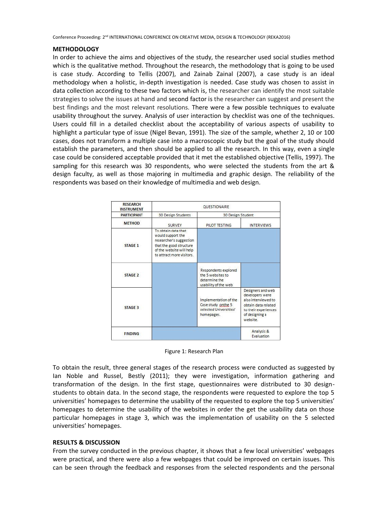#### **METHODOLOGY**

In order to achieve the aims and objectives of the study, the researcher used social studies method which is the qualitative method. Throughout the research, the methodology that is going to be used is case study. According to Tellis (2007), and Zainab Zainal (2007), a case study is an ideal methodology when a holistic, in-depth investigation is needed. Case study was chosen to assist in data collection according to these two factors which is, the researcher can identify the most suitable strategies to solve the issues at hand and second factor is the researcher can suggest and present the best findings and the most relevant resolutions. There were a few possible techniques to evaluate usability throughout the survey. Analysis of user interaction by checklist was one of the techniques. Users could fill in a detailed checklist about the acceptability of various aspects of usability to highlight a particular type of issue (Nigel Bevan, 1991). The size of the sample, whether 2, 10 or 100 cases, does not transform a multiple case into a macroscopic study but the goal of the study should establish the parameters, and then should be applied to all the research. In this way, even a single case could be considered acceptable provided that it met the established objective (Tellis, 1997). The sampling for this research was 30 respondents, who were selected the students from the art & design faculty, as well as those majoring in multimedia and graphic design. The reliability of the respondents was based on their knowledge of multimedia and web design.

| <b>RESEARCH</b><br><b>INSTRUMENT</b> | QUESTIONAIRE                                                                                                                                            |                                                                                     |                                                                                                                                          |
|--------------------------------------|---------------------------------------------------------------------------------------------------------------------------------------------------------|-------------------------------------------------------------------------------------|------------------------------------------------------------------------------------------------------------------------------------------|
| <b>PARTICIPANT</b>                   | <b>30 Design Students</b>                                                                                                                               | 30 Design Student                                                                   |                                                                                                                                          |
| <b>METHOD</b>                        | <b>SURVEY</b>                                                                                                                                           | PILOT TESTING                                                                       | <b>INTERVIEWS</b>                                                                                                                        |
| STAGE 1                              | To obtain data that<br>would support the<br>researcher's suggestion<br>that the good structure<br>of the website will help<br>to attract more visitors. | Respondents explored                                                                |                                                                                                                                          |
| STAGE 2                              |                                                                                                                                                         | the 5 websites to<br>determine the<br>usability of the web                          |                                                                                                                                          |
| STAGE 3                              |                                                                                                                                                         | Implementation of the<br>Case study onthe 5<br>selected Universities'<br>homepages. | Designers and web<br>developers were<br>also interviewed to<br>obtain data related<br>to their experiences<br>of designing a<br>website. |
| <b>FINDING</b>                       |                                                                                                                                                         |                                                                                     | Analysis &<br>Evaluation                                                                                                                 |

Figure 1: Research Plan

To obtain the result, three general stages of the research process were conducted as suggested by Ian Noble and Russel, Bestly (2011); they were investigation, information gathering and transformation of the design. In the first stage, questionnaires were distributed to 30 designstudents to obtain data. In the second stage, the respondents were requested to explore the top 5 universities' homepages to determine the usability of the requested to explore the top 5 universities' homepages to determine the usability of the websites in order the get the usability data on those particular homepages in stage 3, which was the implementation of usability on the 5 selected universities' homepages.

#### **RESULTS & DISCUSSION**

From the survey conducted in the previous chapter, it shows that a few local universities' webpages were practical, and there were also a few webpages that could be improved on certain issues. This can be seen through the feedback and responses from the selected respondents and the personal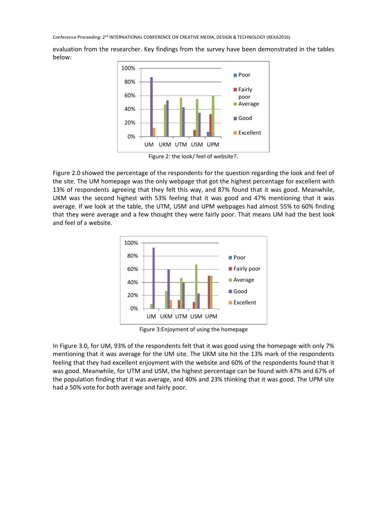evaluation from the researcher. Key findings from the survey have been demonstrated in the tables below:



Figure 2: the look/ feel of website?.

Figure 2.0 showed the percentage of the respondents for the question regarding the look and feel of the site. The UM homepage was the only webpage that got the highest percentage for excellent with 13% of respondents agreeing that they felt this way, and 87% found that it was good. Meanwhile, UKM was the second highest with 53% feeling that it was good and 47% mentioning that it was average. If we look at the table, the UTM, USM and UPM webpages had almost 55% to 60% finding that they were average and a few thought they were fairly poor. That means UM had the best look and feel of a website.



Figure 3:Enjoyment of using the homepage

In Figure 3.0, for UM, 93% of the respondents felt that it was good using the homepage with only 7% mentioning that it was average for the UM site. The UKM site hit the 13% mark of the respondents feeling that they had excellent enjoyment with the website and 60% of the respondents found that it was good. Meanwhile, for UTM and USM, the highest percentage can be found with 47% and 67% of the population finding that it was average, and 40% and 23% thinking that it was good. The UPM site had a 50% vote for both average and fairly poor.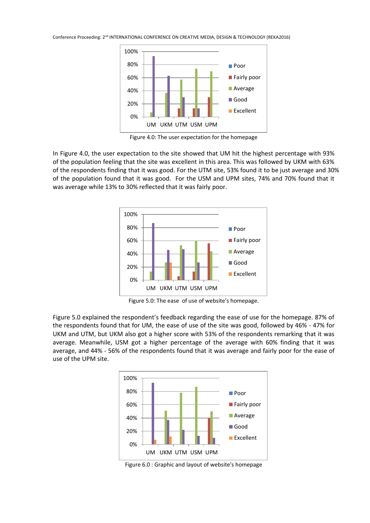

Figure 4.0: The user expectation for the homepage

In Figure 4.0, the user expectation to the site showed that UM hit the highest percentage with 93% of the population feeling that the site was excellent in this area. This was followed by UKM with 63% of the respondents finding that it was good. For the UTM site, 53% found it to be just average and 30% of the population found that it was good. For the USM and UPM sites, 74% and 70% found that it was average while 13% to 30% reflected that it was fairly poor.



Figure 5.0: The ease of use of website's homepage.

Figure 5.0 explained the respondent's feedback regarding the ease of use for the homepage. 87% of the respondents found that for UM, the ease of use of the site was good, followed by 46% - 47% for UKM and UTM, but UKM also got a higher score with 53% of the respondents remarking that it was average. Meanwhile, USM got a higher percentage of the average with 60% finding that it was average, and 44% - 56% of the respondents found that it was average and fairly poor for the ease of use of the UPM site.



Figure 6.0 : Graphic and layout of website's homepage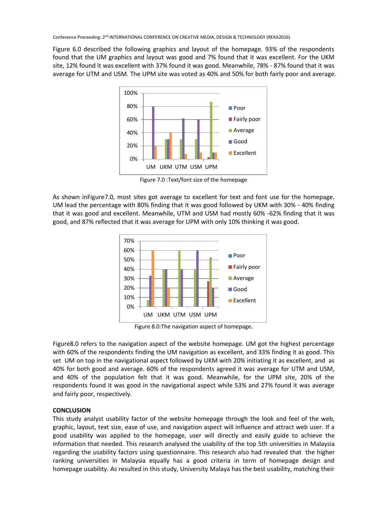Figure 6.0 described the following graphics and layout of the homepage. 93% of the respondents found that the UM graphics and layout was good and 7% found that it was excellent. For the UKM site, 12% found it was excellent with 37% found it was good. Meanwhile, 78% - 87% found that it was average for UTM and USM. The UPM site was voted as 40% and 50% for both fairly poor and average.



Figure 7.0 :Text/font size of the homepage

As shown inFigure7.0, most sites got average to excellent for text and font use for the homepage. UM lead the percentage with 80% finding that it was good followed by UKM with 30% - 40% finding that it was good and excellent. Meanwhile, UTM and USM had mostly 60% -62% finding that it was good, and 87% reflected that it was average for UPM with only 10% thinking it was good.



Figure 8.0:The navigation aspect of homepage**.**

Figure8.0 refers to the navigation aspect of the website homepage. UM got the highest percentage with 60% of the respondents finding the UM navigation as excellent, and 33% finding it as good. This set UM on top in the navigational aspect followed by UKM with 20% initiating it as excellent, and as 40% for both good and average. 60% of the respondents agreed it was average for UTM and USM, and 40% of the population felt that it was good. Meanwhile, for the UPM site, 20% of the respondents found it was good in the navigational aspect while 53% and 27% found it was average and fairly poor, respectively.

# **CONCLUSION**

This study analyst usability factor of the website homepage through the look and feel of the web, graphic, layout, text size, ease of use, and navigation aspect will influence and attract web user. If a good usability was applied to the homepage, user will directly and easily guide to achieve the information that needed. This research analysed the usability of the top 5th universities in Malaysia regarding the usability factors using questionnaire. This research also had revealed that the higher ranking universities in Malaysia equally has a good criteria in term of homepage design and homepage usability. As resulted in this study, University Malaya has the best usability, matching their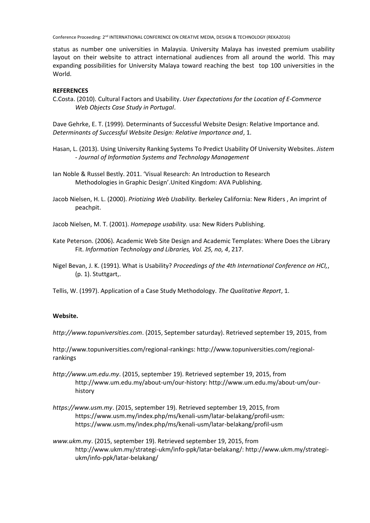status as number one universities in Malaysia. University Malaya has invested premium usability layout on their website to attract international audiences from all around the world. This may expanding possibilities for University Malaya toward reaching the best top 100 universities in the World.

### **REFERENCES**

C.Costa. (2010). Cultural Factors and Usability. *User Expectations for the Location of E-Commerce Web Objects Case Study in Portugal*.

Dave Gehrke, E. T. (1999). Determinants of Successful Website Design: Relative Importance and. *Determinants of Successful Website Design: Relative Importance and*, 1.

- Hasan, L. (2013). Using University Ranking Systems To Predict Usability Of University Websites. *Jistem - Journal of Information Systems and Technology Management*
- Ian Noble & Russel Bestly. 2011. 'Visual Research: An Introduction to Research Methodologies in Graphic Design'.United Kingdom: AVA Publishing.
- Jacob Nielsen, H. L. (2000). *Priotizing Web Usability.* Berkeley California: New Riders , An imprint of peachpit.
- Jacob Nielsen, M. T. (2001). *Homepage usability.* usa: New Riders Publishing.
- Kate Peterson. (2006). Academic Web Site Design and Academic Templates: Where Does the Library Fit. *Information Technology and Libraries, Vol. 25, no, 4*, 217.
- Nigel Bevan, J. K. (1991). What is Usability? *Proceedings of the 4th International Conference on HCI,*, (p. 1). Stuttgart,.

Tellis, W. (1997). Application of a Case Study Methodology. *The Qualitative Report*, 1.

#### **Website.**

*http://www.topuniversities.com*. (2015, September saturday). Retrieved september 19, 2015, from

http://www.topuniversities.com/regional-rankings: http://www.topuniversities.com/regionalrankings

- *http://www.um.edu.my*. (2015, september 19). Retrieved september 19, 2015, from http://www.um.edu.my/about-um/our-history: http://www.um.edu.my/about-um/ourhistory
- *https://www.usm.my*. (2015, september 19). Retrieved september 19, 2015, from https://www.usm.my/index.php/ms/kenali-usm/latar-belakang/profil-usm: https://www.usm.my/index.php/ms/kenali-usm/latar-belakang/profil-usm
- *www.ukm.my*. (2015, september 19). Retrieved september 19, 2015, from http://www.ukm.my/strategi-ukm/info-ppk/latar-belakang/: http://www.ukm.my/strategiukm/info-ppk/latar-belakang/